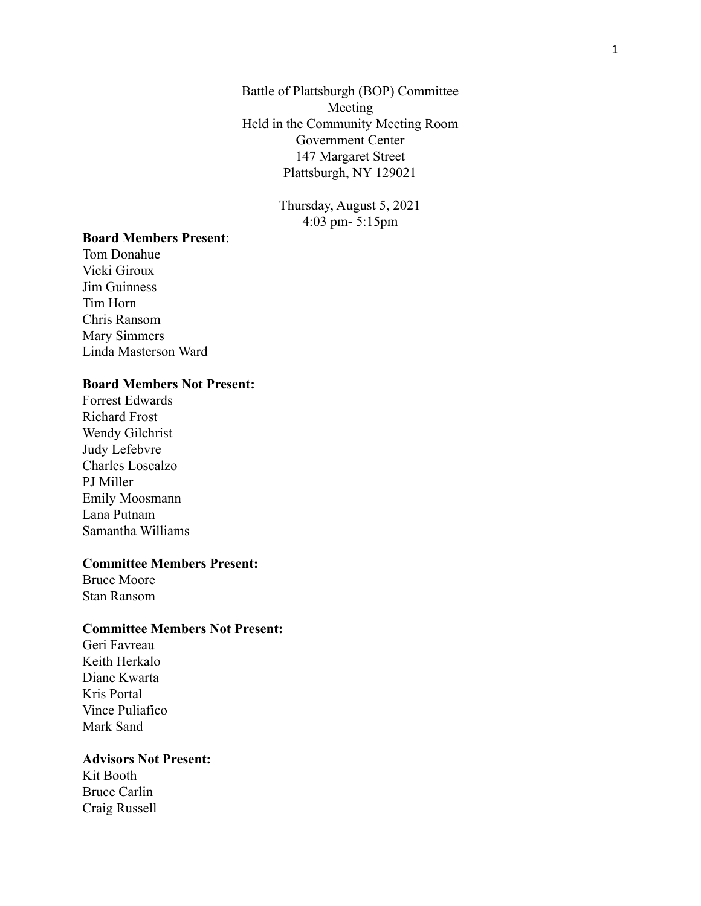Battle of Plattsburgh (BOP) Committee Meeting Held in the Community Meeting Room Government Center 147 Margaret Street Plattsburgh, NY 129021

> Thursday, August 5, 2021 4:03 pm- 5:15pm

## **Board Members Present**:

Tom Donahue Vicki Giroux Jim Guinness Tim Horn Chris Ransom Mary Simmers Linda Masterson Ward

## **Board Members Not Present:**

Forrest Edwards Richard Frost Wendy Gilchrist Judy Lefebvre Charles Loscalzo PJ Miller Emily Moosmann Lana Putnam Samantha Williams

#### **Committee Members Present:**

Bruce Moore Stan Ransom

#### **Committee Members Not Present:**

Geri Favreau Keith Herkalo Diane Kwarta Kris Portal Vince Puliafico Mark Sand

#### **Advisors Not Present:**

Kit Booth Bruce Carlin Craig Russell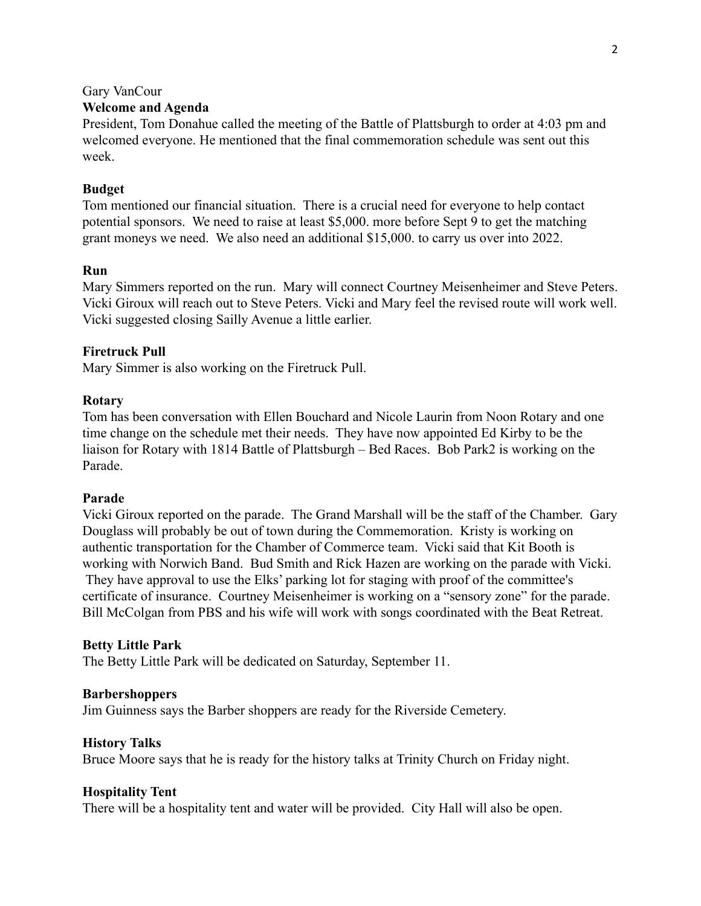#### Gary VanCour

## **Welcome and Agenda**

President, Tom Donahue called the meeting of the Battle of Plattsburgh to order at 4:03 pm and welcomed everyone. He mentioned that the final commemoration schedule was sent out this week.

#### **Budget**

Tom mentioned our financial situation. There is a crucial need for everyone to help contact potential sponsors. We need to raise at least \$5,000. more before Sept 9 to get the matching grant moneys we need. We also need an additional \$15,000. to carry us over into 2022.

#### **Run**

Mary Simmers reported on the run. Mary will connect Courtney Meisenheimer and Steve Peters. Vicki Giroux will reach out to Steve Peters. Vicki and Mary feel the revised route will work well. Vicki suggested closing Sailly Avenue a little earlier.

#### **Firetruck Pull**

Mary Simmer is also working on the Firetruck Pull.

#### **Rotary**

Tom has been conversation with Ellen Bouchard and Nicole Laurin from Noon Rotary and one time change on the schedule met their needs. They have now appointed Ed Kirby to be the liaison for Rotary with 1814 Battle of Plattsburgh – Bed Races. Bob Park2 is working on the Parade.

#### **Parade**

Vicki Giroux reported on the parade. The Grand Marshall will be the staff of the Chamber. Gary Douglass will probably be out of town during the Commemoration. Kristy is working on authentic transportation for the Chamber of Commerce team. Vicki said that Kit Booth is working with Norwich Band. Bud Smith and Rick Hazen are working on the parade with Vicki. They have approval to use the Elks' parking lot for staging with proof of the committee's certificate of insurance. Courtney Meisenheimer is working on a "sensory zone" for the parade. Bill McColgan from PBS and his wife will work with songs coordinated with the Beat Retreat.

#### **Betty Little Park**

The Betty Little Park will be dedicated on Saturday, September 11.

#### **Barbershoppers**

Jim Guinness says the Barber shoppers are ready for the Riverside Cemetery.

#### **History Talks**

Bruce Moore says that he is ready for the history talks at Trinity Church on Friday night.

#### **Hospitality Tent**

There will be a hospitality tent and water will be provided. City Hall will also be open.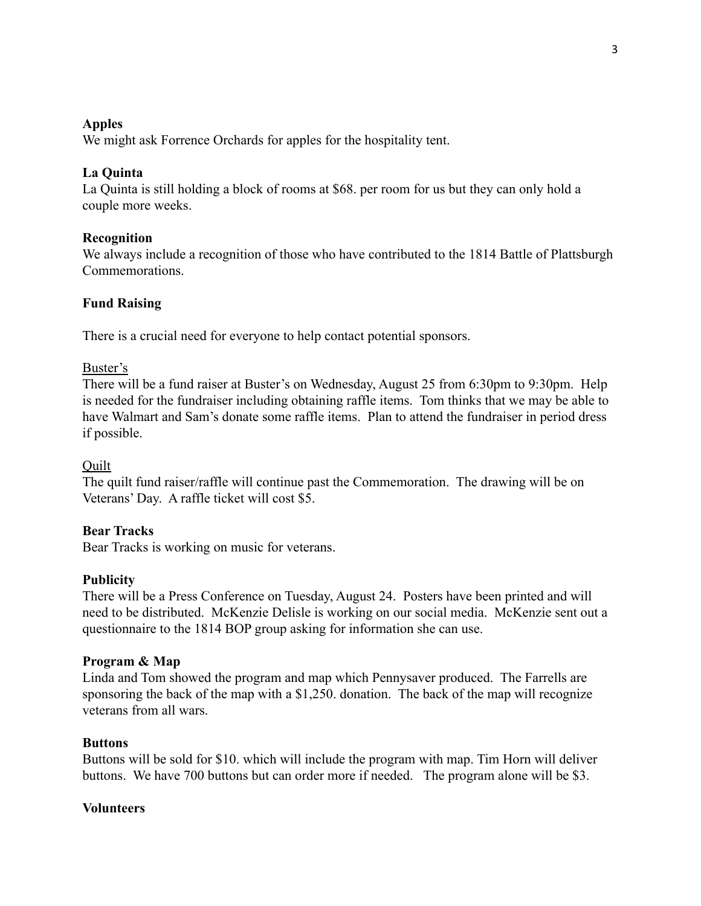## **Apples**

We might ask Forrence Orchards for apples for the hospitality tent.

## **La Quinta**

La Quinta is still holding a block of rooms at \$68. per room for us but they can only hold a couple more weeks.

# **Recognition**

We always include a recognition of those who have contributed to the 1814 Battle of Plattsburgh Commemorations.

# **Fund Raising**

There is a crucial need for everyone to help contact potential sponsors.

## Buster's

There will be a fund raiser at Buster's on Wednesday, August 25 from 6:30pm to 9:30pm. Help is needed for the fundraiser including obtaining raffle items. Tom thinks that we may be able to have Walmart and Sam's donate some raffle items. Plan to attend the fundraiser in period dress if possible.

## **Quilt**

The quilt fund raiser/raffle will continue past the Commemoration. The drawing will be on Veterans' Day. A raffle ticket will cost \$5.

## **Bear Tracks**

Bear Tracks is working on music for veterans.

## **Publicity**

There will be a Press Conference on Tuesday, August 24. Posters have been printed and will need to be distributed. McKenzie Delisle is working on our social media. McKenzie sent out a questionnaire to the 1814 BOP group asking for information she can use.

## **Program & Map**

Linda and Tom showed the program and map which Pennysaver produced. The Farrells are sponsoring the back of the map with a \$1,250. donation. The back of the map will recognize veterans from all wars.

## **Buttons**

Buttons will be sold for \$10. which will include the program with map. Tim Horn will deliver buttons. We have 700 buttons but can order more if needed. The program alone will be \$3.

## **Volunteers**